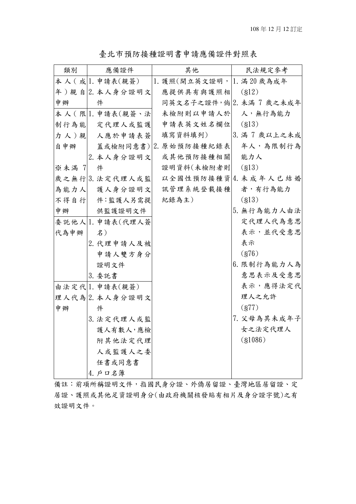| 類別    | 應備證件               | 其他                         | 民法規定參考                  |  |  |  |  |
|-------|--------------------|----------------------------|-------------------------|--|--|--|--|
|       | 本 人 ( 成  . 申請表(親簽) | 1. 護照(開立英文證明,  1. 滿20 歲為成年 |                         |  |  |  |  |
|       | 年)親自2.本人身分證明文      | 應提供具有與護照相                  | (812)                   |  |  |  |  |
| 申辦    | 件                  |                            | 同英文名子之證件,倘2. 未滿 7 歲之未成年 |  |  |  |  |
|       | 本人(限 1. 申請表(親簽、法   | 未檢附則以申請人於  人,無行為能力         |                         |  |  |  |  |
| 制行為能  | 定代理人或監護            | 申請表英文姓名欄位                  | (S13)                   |  |  |  |  |
| 力人)親  | 人應於申請表簽            | 填寫資料填列)                    | 3. 滿 7 歲以上之未成           |  |  |  |  |
| 自申辦   |                    | 蓋或檢附同意書) 2. 原始預防接種紀錄表      | 年人,為限制行為                |  |  |  |  |
|       | 2. 本人身分證明文         | 或其他預防接種相關                  | 能力人                     |  |  |  |  |
| ※未滿 7 | 件                  | 證明資料(未檢附者則                 | (S13)                   |  |  |  |  |
|       | 歲之無行 3. 法定代理人或監    |                            | 以全國性預防接種資 4. 未成年人已結婚    |  |  |  |  |
| 為能力人  | 護人身分證明文            | 訊管理系統登載接種                  | 者,有行為能力                 |  |  |  |  |
| 不得自行  | 件:監護人另需提           | 紀錄為主)                      | (813)                   |  |  |  |  |
| 申辦    | 供監護證明文件            |                            | 5. 無行為能力人由法             |  |  |  |  |
|       | 委託他人 1. 申請表(代理人簽   |                            | 定代理人代為意思                |  |  |  |  |
| 代為申辦  | 名)                 |                            | 表示,並代受意思                |  |  |  |  |
|       | 2. 代理申請人及被         |                            | 表示                      |  |  |  |  |
|       | 申請人雙方身分            |                            | (876)                   |  |  |  |  |
|       | 證明文件               |                            | 6. 限制行為能力人為             |  |  |  |  |
|       | 3. 委託書             |                            | 意思表示及受意思                |  |  |  |  |
|       | 由法定代 1. 申請表(親簽)    |                            | 表示,應得法定代                |  |  |  |  |
|       | 理人代為2.本人身分證明文      |                            | 理人之允許                   |  |  |  |  |
| 申辦    | 件                  |                            | (877)                   |  |  |  |  |
|       | 3. 法定代理人或監         |                            | 7. 父母為其未成年子             |  |  |  |  |
|       | 護人有數人,應檢           |                            | 女之法定代理人                 |  |  |  |  |
|       | 附其他法定代理            |                            | $($ \$1086 $)$          |  |  |  |  |
|       | 人或監護人之委            |                            |                         |  |  |  |  |
|       | 任書或同意書             |                            |                         |  |  |  |  |
|       | 4. 戶口名簿            |                            |                         |  |  |  |  |

臺北市預防接種證明書申請應備證件對照表

備註:前項所稱證明文件,指國民身分證、外僑居留證、臺灣地區居留證、定 居證、護照或其他足資證明身分(由政府機關核發貼有相片及身分證字號)之有 效證明文件。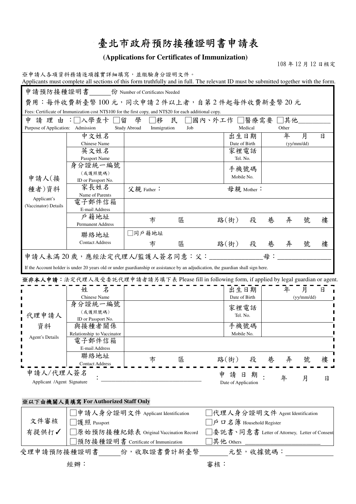# 臺北市政府預防接種證明書申請表

**(Applications for Certificates of Immunization)** 

108 年 12 月 12 日核定

|                                   | ※申請人各項資料務請逐項據實詳細填寫,並繳驗身分證明文件。<br>Applicants must complete all sections of this form truthfully and in full. The relevant ID must be submitted together with the form.                                                                 |                                    |     |                                                |               |   |       |              |     |
|-----------------------------------|---------------------------------------------------------------------------------------------------------------------------------------------------------------------------------------------------------------------------------------|------------------------------------|-----|------------------------------------------------|---------------|---|-------|--------------|-----|
|                                   | 申請預防接種證明書 份 Number of Certificates Needed                                                                                                                                                                                             |                                    |     |                                                |               |   |       |              |     |
|                                   | 費用:每件收費新臺幣100元,同次申請2件以上者,自第2件起每件收費新臺幣20元                                                                                                                                                                                              |                                    |     |                                                |               |   |       |              |     |
|                                   | Fees: Certificate of Immunization cost NT\$100 for the first copy, and NT\$20 for each additional copy.                                                                                                                               |                                    |     |                                                |               |   |       |              |     |
| 申                                 | 請 理 由 :□入學查卡 □留                                                                                                                                                                                                                       | 學<br>「移                            | 民   | □國內、外工作 □醫療需要 □其他                              |               |   |       |              |     |
| Purpose of Application: Admission |                                                                                                                                                                                                                                       | <b>Study Abroad</b><br>Immigration | Job |                                                | Medical       |   | Other |              |     |
|                                   | 中文姓名                                                                                                                                                                                                                                  |                                    |     |                                                | 出生日期          |   | 年     | 月            | 日   |
|                                   | Chinese Name                                                                                                                                                                                                                          |                                    |     |                                                | Date of Birth |   |       | (yy/mm / dd) |     |
|                                   | 英文姓名                                                                                                                                                                                                                                  |                                    |     |                                                | 家裡電話          |   |       |              |     |
|                                   | Passport Name                                                                                                                                                                                                                         |                                    |     |                                                | Tel. No.      |   |       |              |     |
|                                   | 身分證統一編號                                                                                                                                                                                                                               |                                    |     |                                                | 手機號碼          |   |       |              |     |
|                                   | (或護照號碼)                                                                                                                                                                                                                               |                                    |     |                                                | Mobile No.    |   |       |              |     |
| 申請人(接                             | ID or Passport No.                                                                                                                                                                                                                    |                                    |     |                                                |               |   |       |              |     |
| 種者)資料                             | 家長姓名                                                                                                                                                                                                                                  | 父親 Father:                         |     |                                                | 母親 Mother:    |   |       |              |     |
| Applicant's                       | Name of Parents<br>電子郵件信箱                                                                                                                                                                                                             |                                    |     |                                                |               |   |       |              |     |
| (Vaccinator) Details              | E-mail Address                                                                                                                                                                                                                        |                                    |     |                                                |               |   |       |              |     |
|                                   | 戶籍地址                                                                                                                                                                                                                                  |                                    |     |                                                |               |   |       |              |     |
|                                   | Permanent Address                                                                                                                                                                                                                     | 市                                  | 區   | 路(街)                                           | 段             | 巷 | 弄     | 號            | 樓   |
|                                   |                                                                                                                                                                                                                                       | 同戶籍地址                              |     |                                                |               |   |       |              |     |
|                                   | 聯絡地址                                                                                                                                                                                                                                  |                                    |     |                                                |               |   |       |              |     |
|                                   | <b>Contact Address</b>                                                                                                                                                                                                                | 市                                  | 區   | 路(街)                                           | 段             | 巷 | 弄     | 號            | 樓   |
|                                   | If the Account holder is under 20 years old or under guardianship or assistance by an adjudication, the guardian shall sign here.<br>※非本人申請:法定代理人及受委託代理申請者請另填下表 Please fill in following form, if applied by legal guardian or agent. |                                    |     |                                                |               |   |       |              |     |
|                                   | 姓 名                                                                                                                                                                                                                                   |                                    |     |                                                | 出生日期          |   | 年 月   |              | 日 」 |
|                                   | Chinese Name                                                                                                                                                                                                                          |                                    |     |                                                | Date of Birth |   |       | (yy/mm / dd) |     |
|                                   | 身分證統一編號                                                                                                                                                                                                                               |                                    |     |                                                | 家裡電話          |   |       |              |     |
| 代理申請人                             | (或護照號碼)<br>ID or Passport No.                                                                                                                                                                                                         |                                    |     |                                                | Tel. No.      |   |       |              |     |
| 資料                                | 與接種者關係                                                                                                                                                                                                                                |                                    |     | 手機號碼                                           |               |   |       |              |     |
|                                   | Relationship to Vaccinator                                                                                                                                                                                                            |                                    |     |                                                | Mobile No.    |   |       |              |     |
| <b>Agent's Details</b>            | 電子郵件信箱                                                                                                                                                                                                                                |                                    |     |                                                |               |   |       |              |     |
|                                   | E-mail Address                                                                                                                                                                                                                        |                                    |     |                                                |               |   |       |              |     |
|                                   | 聯絡地址                                                                                                                                                                                                                                  | 市                                  | 區   | 路(街)                                           | 段             | 巷 | 弄     | 號            | 樓   |
|                                   | <b>Contact Address</b>                                                                                                                                                                                                                |                                    |     |                                                |               |   |       |              |     |
| 申請人/代理人簽名                         |                                                                                                                                                                                                                                       |                                    |     | 申<br>請日                                        | 期             |   |       |              |     |
| Applicant /Agent Signature        |                                                                                                                                                                                                                                       |                                    |     | Date of Application                            |               |   | 年     | 月            | 日   |
|                                   |                                                                                                                                                                                                                                       |                                    |     |                                                |               |   |       |              |     |
|                                   | ※以下由機關人員填寫 For Authorized Staff Only                                                                                                                                                                                                  |                                    |     |                                                |               |   |       |              |     |
|                                   | 申請人身分證明文件 Applicant Identification                                                                                                                                                                                                    |                                    |     | ]代理人身分證明文件 Agent Identification                |               |   |       |              |     |
| 文件審核                              | □護照 Passport                                                                                                                                                                                                                          |                                    |     | $\n  [p]$ ロ 名 簿 Household Register             |               |   |       |              |     |
|                                   | │□原始預防接種紀錄表 Original Vaccination Record                                                                                                                                                                                               |                                    |     | ∃委託書丶同意書 Letter of Attorney, Letter of Consent |               |   |       |              |     |
|                                   |                                                                                                                                                                                                                                       |                                    |     |                                                |               |   |       |              |     |
| 有提供打√                             |                                                                                                                                                                                                                                       |                                    |     |                                                |               |   |       |              |     |
|                                   | □預防接種證明書 Certificate of Immunization<br>受理申請預防接種證明書 份,收取證書費計新臺幣 元整,收據號碼:                                                                                                                                                              |                                    |     | ]其他 Others                                     |               |   |       |              |     |

經辦: 審核: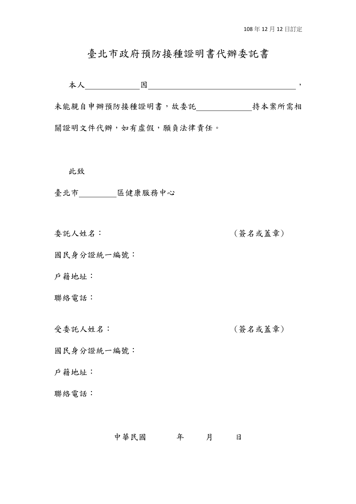#### 臺北市政府預防接種證明書代辦委託書

本人 因 ,

未能親自申辦預防接種證明書,故委託 持本案所需相 關證明文件代辦,如有虛假,願負法律責任。

此致

臺北市 區健康服務中心

委託人姓名: (簽名或蓋章)

國民身分證統一編號:

戶籍地址:

聯絡電話:

受委託人姓名: (簽名或蓋章)

國民身分證統一編號:

戶籍地址:

聯絡電話:

#### 中華民國 年 月 日